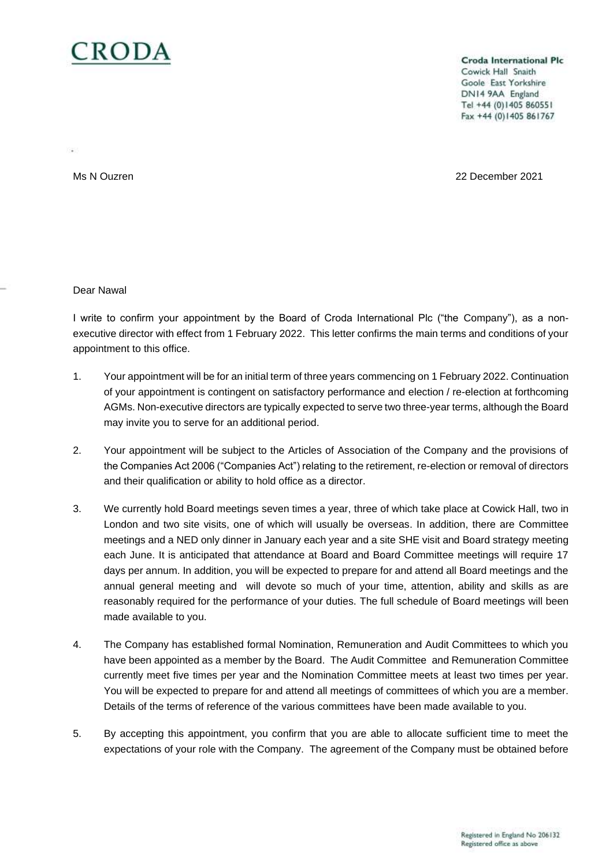

**Croda International Plc** Cowick Hall Snaith Goole East Yorkshire DN14 9AA England Tel +44 (0)1405 860551 Fax +44 (0)1405 861767

Ms N Ouzren 22 December 2021

Dear Nawal

I write to confirm your appointment by the Board of Croda International Plc ("the Company"), as a nonexecutive director with effect from 1 February 2022. This letter confirms the main terms and conditions of your appointment to this office.

- 1. Your appointment will be for an initial term of three years commencing on 1 February 2022. Continuation of your appointment is contingent on satisfactory performance and election / re-election at forthcoming AGMs. Non-executive directors are typically expected to serve two three-year terms, although the Board may invite you to serve for an additional period.
- 2. Your appointment will be subject to the Articles of Association of the Company and the provisions of the Companies Act 2006 ("Companies Act") relating to the retirement, re-election or removal of directors and their qualification or ability to hold office as a director.
- 3. We currently hold Board meetings seven times a year, three of which take place at Cowick Hall, two in London and two site visits, one of which will usually be overseas. In addition, there are Committee meetings and a NED only dinner in January each year and a site SHE visit and Board strategy meeting each June. It is anticipated that attendance at Board and Board Committee meetings will require 17 days per annum. In addition, you will be expected to prepare for and attend all Board meetings and the annual general meeting and will devote so much of your time, attention, ability and skills as are reasonably required for the performance of your duties. The full schedule of Board meetings will been made available to you.
- 4. The Company has established formal Nomination, Remuneration and Audit Committees to which you have been appointed as a member by the Board. The Audit Committee and Remuneration Committee currently meet five times per year and the Nomination Committee meets at least two times per year. You will be expected to prepare for and attend all meetings of committees of which you are a member. Details of the terms of reference of the various committees have been made available to you.
- 5. By accepting this appointment, you confirm that you are able to allocate sufficient time to meet the expectations of your role with the Company. The agreement of the Company must be obtained before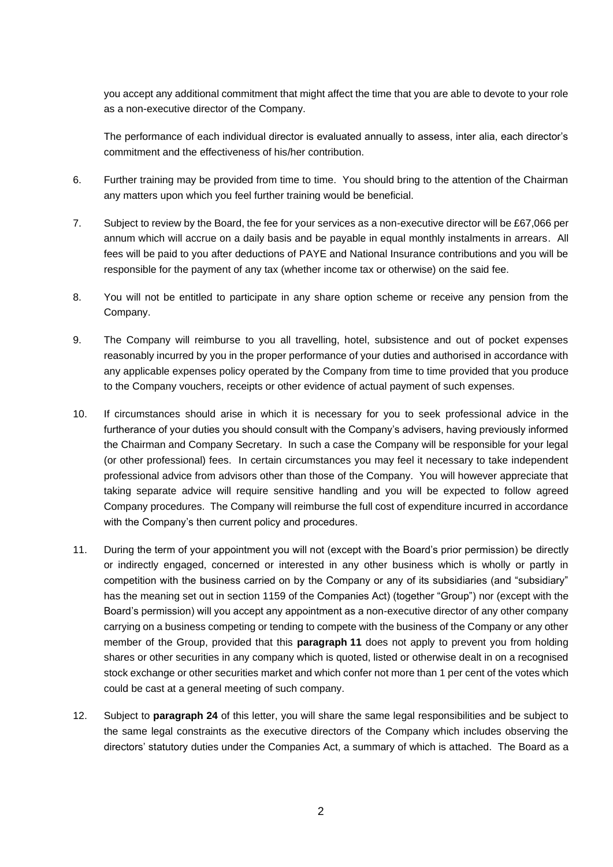you accept any additional commitment that might affect the time that you are able to devote to your role as a non-executive director of the Company.

The performance of each individual director is evaluated annually to assess, inter alia, each director's commitment and the effectiveness of his/her contribution.

- 6. Further training may be provided from time to time. You should bring to the attention of the Chairman any matters upon which you feel further training would be beneficial.
- 7. Subject to review by the Board, the fee for your services as a non-executive director will be £67,066 per annum which will accrue on a daily basis and be payable in equal monthly instalments in arrears. All fees will be paid to you after deductions of PAYE and National Insurance contributions and you will be responsible for the payment of any tax (whether income tax or otherwise) on the said fee.
- 8. You will not be entitled to participate in any share option scheme or receive any pension from the Company.
- 9. The Company will reimburse to you all travelling, hotel, subsistence and out of pocket expenses reasonably incurred by you in the proper performance of your duties and authorised in accordance with any applicable expenses policy operated by the Company from time to time provided that you produce to the Company vouchers, receipts or other evidence of actual payment of such expenses.
- 10. If circumstances should arise in which it is necessary for you to seek professional advice in the furtherance of your duties you should consult with the Company's advisers, having previously informed the Chairman and Company Secretary. In such a case the Company will be responsible for your legal (or other professional) fees. In certain circumstances you may feel it necessary to take independent professional advice from advisors other than those of the Company. You will however appreciate that taking separate advice will require sensitive handling and you will be expected to follow agreed Company procedures. The Company will reimburse the full cost of expenditure incurred in accordance with the Company's then current policy and procedures.
- 11. During the term of your appointment you will not (except with the Board's prior permission) be directly or indirectly engaged, concerned or interested in any other business which is wholly or partly in competition with the business carried on by the Company or any of its subsidiaries (and "subsidiary" has the meaning set out in section 1159 of the Companies Act) (together "Group") nor (except with the Board's permission) will you accept any appointment as a non-executive director of any other company carrying on a business competing or tending to compete with the business of the Company or any other member of the Group, provided that this **paragraph 11** does not apply to prevent you from holding shares or other securities in any company which is quoted, listed or otherwise dealt in on a recognised stock exchange or other securities market and which confer not more than 1 per cent of the votes which could be cast at a general meeting of such company.
- 12. Subject to **paragraph 24** of this letter, you will share the same legal responsibilities and be subject to the same legal constraints as the executive directors of the Company which includes observing the directors' statutory duties under the Companies Act, a summary of which is attached. The Board as a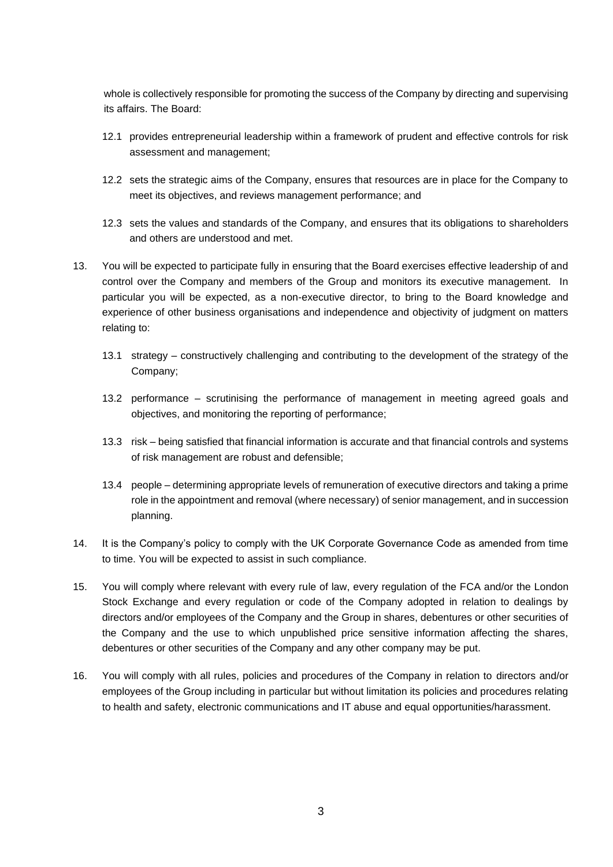whole is collectively responsible for promoting the success of the Company by directing and supervising its affairs. The Board:

- 12.1 provides entrepreneurial leadership within a framework of prudent and effective controls for risk assessment and management;
- 12.2 sets the strategic aims of the Company, ensures that resources are in place for the Company to meet its objectives, and reviews management performance; and
- 12.3 sets the values and standards of the Company, and ensures that its obligations to shareholders and others are understood and met.
- 13. You will be expected to participate fully in ensuring that the Board exercises effective leadership of and control over the Company and members of the Group and monitors its executive management. In particular you will be expected, as a non-executive director, to bring to the Board knowledge and experience of other business organisations and independence and objectivity of judgment on matters relating to:
	- 13.1 strategy constructively challenging and contributing to the development of the strategy of the Company;
	- 13.2 performance scrutinising the performance of management in meeting agreed goals and objectives, and monitoring the reporting of performance;
	- 13.3 risk being satisfied that financial information is accurate and that financial controls and systems of risk management are robust and defensible;
	- 13.4 people determining appropriate levels of remuneration of executive directors and taking a prime role in the appointment and removal (where necessary) of senior management, and in succession planning.
- 14. It is the Company's policy to comply with the UK Corporate Governance Code as amended from time to time. You will be expected to assist in such compliance.
- 15. You will comply where relevant with every rule of law, every regulation of the FCA and/or the London Stock Exchange and every regulation or code of the Company adopted in relation to dealings by directors and/or employees of the Company and the Group in shares, debentures or other securities of the Company and the use to which unpublished price sensitive information affecting the shares, debentures or other securities of the Company and any other company may be put.
- 16. You will comply with all rules, policies and procedures of the Company in relation to directors and/or employees of the Group including in particular but without limitation its policies and procedures relating to health and safety, electronic communications and IT abuse and equal opportunities/harassment.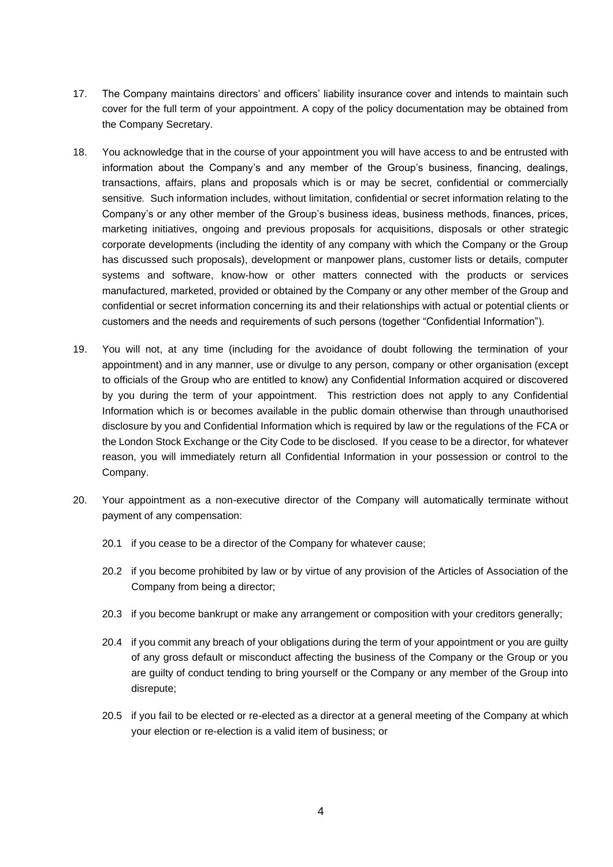- 17. The Company maintains directors' and officers' liability insurance cover and intends to maintain such cover for the full term of your appointment. A copy of the policy documentation may be obtained from the Company Secretary.
- 18. You acknowledge that in the course of your appointment you will have access to and be entrusted with information about the Company's and any member of the Group's business, financing, dealings, transactions, affairs, plans and proposals which is or may be secret, confidential or commercially sensitive*.* Such information includes, without limitation, confidential or secret information relating to the Company's or any other member of the Group's business ideas, business methods, finances, prices, marketing initiatives, ongoing and previous proposals for acquisitions, disposals or other strategic corporate developments (including the identity of any company with which the Company or the Group has discussed such proposals), development or manpower plans, customer lists or details, computer systems and software, know-how or other matters connected with the products or services manufactured, marketed, provided or obtained by the Company or any other member of the Group and confidential or secret information concerning its and their relationships with actual or potential clients or customers and the needs and requirements of such persons (together "Confidential Information").
- 19. You will not, at any time (including for the avoidance of doubt following the termination of your appointment) and in any manner, use or divulge to any person, company or other organisation (except to officials of the Group who are entitled to know) any Confidential Information acquired or discovered by you during the term of your appointment. This restriction does not apply to any Confidential Information which is or becomes available in the public domain otherwise than through unauthorised disclosure by you and Confidential Information which is required by law or the regulations of the FCA or the London Stock Exchange or the City Code to be disclosed. If you cease to be a director, for whatever reason, you will immediately return all Confidential Information in your possession or control to the Company.
- 20. Your appointment as a non-executive director of the Company will automatically terminate without payment of any compensation:
	- 20.1 if you cease to be a director of the Company for whatever cause;
	- 20.2 if you become prohibited by law or by virtue of any provision of the Articles of Association of the Company from being a director;
	- 20.3 if you become bankrupt or make any arrangement or composition with your creditors generally;
	- 20.4 if you commit any breach of your obligations during the term of your appointment or you are guilty of any gross default or misconduct affecting the business of the Company or the Group or you are guilty of conduct tending to bring yourself or the Company or any member of the Group into disrepute;
	- 20.5 if you fail to be elected or re-elected as a director at a general meeting of the Company at which your election or re-election is a valid item of business; or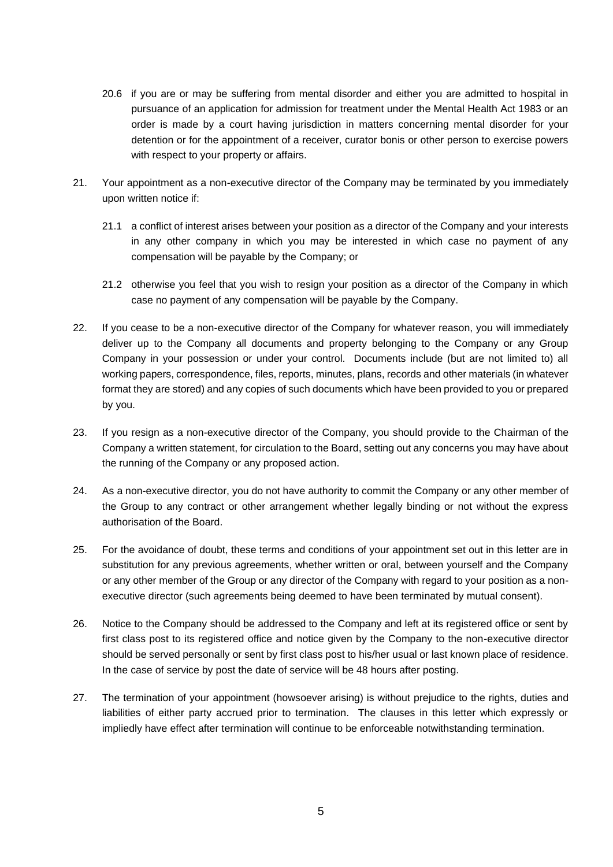- 20.6 if you are or may be suffering from mental disorder and either you are admitted to hospital in pursuance of an application for admission for treatment under the Mental Health Act 1983 or an order is made by a court having jurisdiction in matters concerning mental disorder for your detention or for the appointment of a receiver, curator bonis or other person to exercise powers with respect to your property or affairs.
- 21. Your appointment as a non-executive director of the Company may be terminated by you immediately upon written notice if:
	- 21.1 a conflict of interest arises between your position as a director of the Company and your interests in any other company in which you may be interested in which case no payment of any compensation will be payable by the Company; or
	- 21.2 otherwise you feel that you wish to resign your position as a director of the Company in which case no payment of any compensation will be payable by the Company.
- 22. If you cease to be a non-executive director of the Company for whatever reason, you will immediately deliver up to the Company all documents and property belonging to the Company or any Group Company in your possession or under your control. Documents include (but are not limited to) all working papers, correspondence, files, reports, minutes, plans, records and other materials (in whatever format they are stored) and any copies of such documents which have been provided to you or prepared by you.
- 23. If you resign as a non-executive director of the Company, you should provide to the Chairman of the Company a written statement, for circulation to the Board, setting out any concerns you may have about the running of the Company or any proposed action.
- 24. As a non-executive director, you do not have authority to commit the Company or any other member of the Group to any contract or other arrangement whether legally binding or not without the express authorisation of the Board.
- 25. For the avoidance of doubt, these terms and conditions of your appointment set out in this letter are in substitution for any previous agreements, whether written or oral, between yourself and the Company or any other member of the Group or any director of the Company with regard to your position as a nonexecutive director (such agreements being deemed to have been terminated by mutual consent).
- 26. Notice to the Company should be addressed to the Company and left at its registered office or sent by first class post to its registered office and notice given by the Company to the non-executive director should be served personally or sent by first class post to his/her usual or last known place of residence. In the case of service by post the date of service will be 48 hours after posting.
- 27. The termination of your appointment (howsoever arising) is without prejudice to the rights, duties and liabilities of either party accrued prior to termination. The clauses in this letter which expressly or impliedly have effect after termination will continue to be enforceable notwithstanding termination.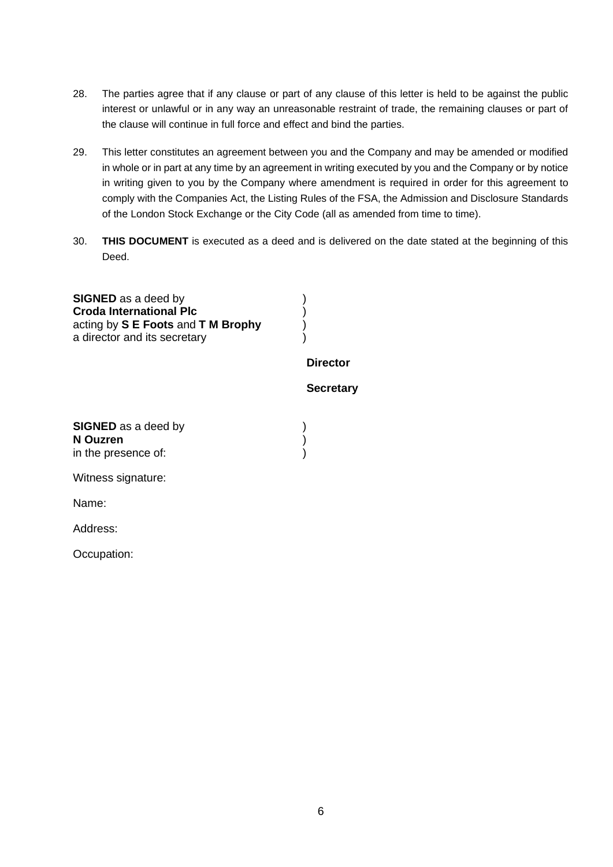- 28. The parties agree that if any clause or part of any clause of this letter is held to be against the public interest or unlawful or in any way an unreasonable restraint of trade, the remaining clauses or part of the clause will continue in full force and effect and bind the parties.
- 29. This letter constitutes an agreement between you and the Company and may be amended or modified in whole or in part at any time by an agreement in writing executed by you and the Company or by notice in writing given to you by the Company where amendment is required in order for this agreement to comply with the Companies Act, the Listing Rules of the FSA, the Admission and Disclosure Standards of the London Stock Exchange or the City Code (all as amended from time to time).
- 30. **THIS DOCUMENT** is executed as a deed and is delivered on the date stated at the beginning of this Deed.

**SIGNED** as a deed by (a) **Croda International Plc** ) acting by **S E Foots** and **T M Brophy** ) a director and its secretary

### **Director**

# **Secretary**

**SIGNED** as a deed by (a) **N Ouzren** ) in the presence of:  $\qquad \qquad$ )

Witness signature:

Name:

Address:

Occupation: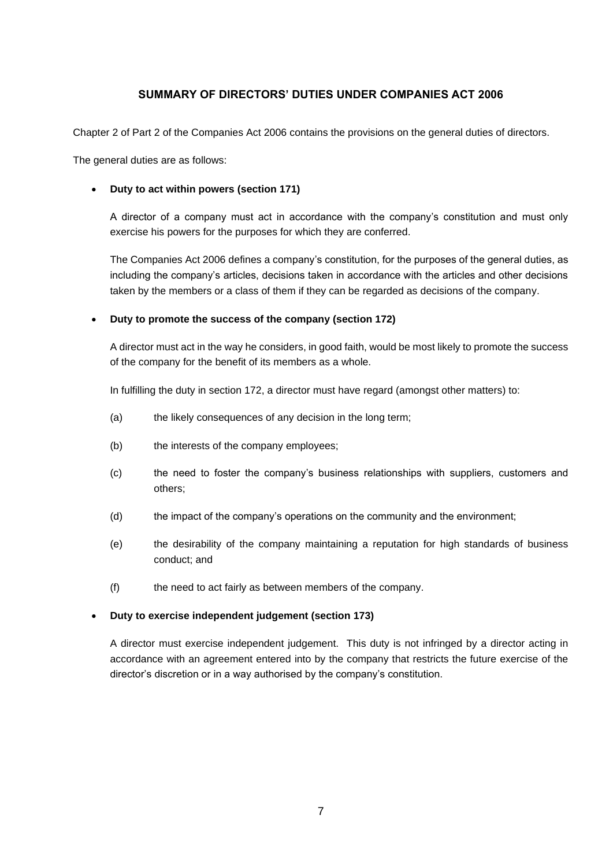# **SUMMARY OF DIRECTORS' DUTIES UNDER COMPANIES ACT 2006**

Chapter 2 of Part 2 of the Companies Act 2006 contains the provisions on the general duties of directors.

The general duties are as follows:

### • **Duty to act within powers (section 171)**

A director of a company must act in accordance with the company's constitution and must only exercise his powers for the purposes for which they are conferred.

The Companies Act 2006 defines a company's constitution, for the purposes of the general duties, as including the company's articles, decisions taken in accordance with the articles and other decisions taken by the members or a class of them if they can be regarded as decisions of the company.

### • **Duty to promote the success of the company (section 172)**

A director must act in the way he considers, in good faith, would be most likely to promote the success of the company for the benefit of its members as a whole.

In fulfilling the duty in section 172, a director must have regard (amongst other matters) to:

- (a) the likely consequences of any decision in the long term;
- (b) the interests of the company employees;
- (c) the need to foster the company's business relationships with suppliers, customers and others;
- (d) the impact of the company's operations on the community and the environment;
- (e) the desirability of the company maintaining a reputation for high standards of business conduct; and
- (f) the need to act fairly as between members of the company.

#### • **Duty to exercise independent judgement (section 173)**

A director must exercise independent judgement. This duty is not infringed by a director acting in accordance with an agreement entered into by the company that restricts the future exercise of the director's discretion or in a way authorised by the company's constitution.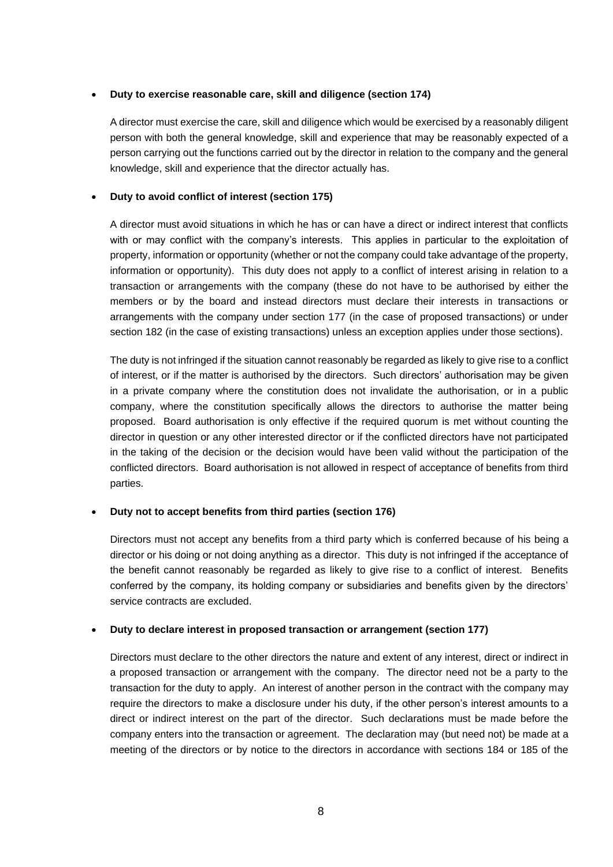# • **Duty to exercise reasonable care, skill and diligence (section 174)**

A director must exercise the care, skill and diligence which would be exercised by a reasonably diligent person with both the general knowledge, skill and experience that may be reasonably expected of a person carrying out the functions carried out by the director in relation to the company and the general knowledge, skill and experience that the director actually has.

# • **Duty to avoid conflict of interest (section 175)**

A director must avoid situations in which he has or can have a direct or indirect interest that conflicts with or may conflict with the company's interests. This applies in particular to the exploitation of property, information or opportunity (whether or not the company could take advantage of the property, information or opportunity). This duty does not apply to a conflict of interest arising in relation to a transaction or arrangements with the company (these do not have to be authorised by either the members or by the board and instead directors must declare their interests in transactions or arrangements with the company under section 177 (in the case of proposed transactions) or under section 182 (in the case of existing transactions) unless an exception applies under those sections).

The duty is not infringed if the situation cannot reasonably be regarded as likely to give rise to a conflict of interest, or if the matter is authorised by the directors. Such directors' authorisation may be given in a private company where the constitution does not invalidate the authorisation, or in a public company, where the constitution specifically allows the directors to authorise the matter being proposed. Board authorisation is only effective if the required quorum is met without counting the director in question or any other interested director or if the conflicted directors have not participated in the taking of the decision or the decision would have been valid without the participation of the conflicted directors. Board authorisation is not allowed in respect of acceptance of benefits from third parties.

# • **Duty not to accept benefits from third parties (section 176)**

Directors must not accept any benefits from a third party which is conferred because of his being a director or his doing or not doing anything as a director. This duty is not infringed if the acceptance of the benefit cannot reasonably be regarded as likely to give rise to a conflict of interest. Benefits conferred by the company, its holding company or subsidiaries and benefits given by the directors' service contracts are excluded.

# • **Duty to declare interest in proposed transaction or arrangement (section 177)**

Directors must declare to the other directors the nature and extent of any interest, direct or indirect in a proposed transaction or arrangement with the company. The director need not be a party to the transaction for the duty to apply. An interest of another person in the contract with the company may require the directors to make a disclosure under his duty, if the other person's interest amounts to a direct or indirect interest on the part of the director. Such declarations must be made before the company enters into the transaction or agreement. The declaration may (but need not) be made at a meeting of the directors or by notice to the directors in accordance with sections 184 or 185 of the